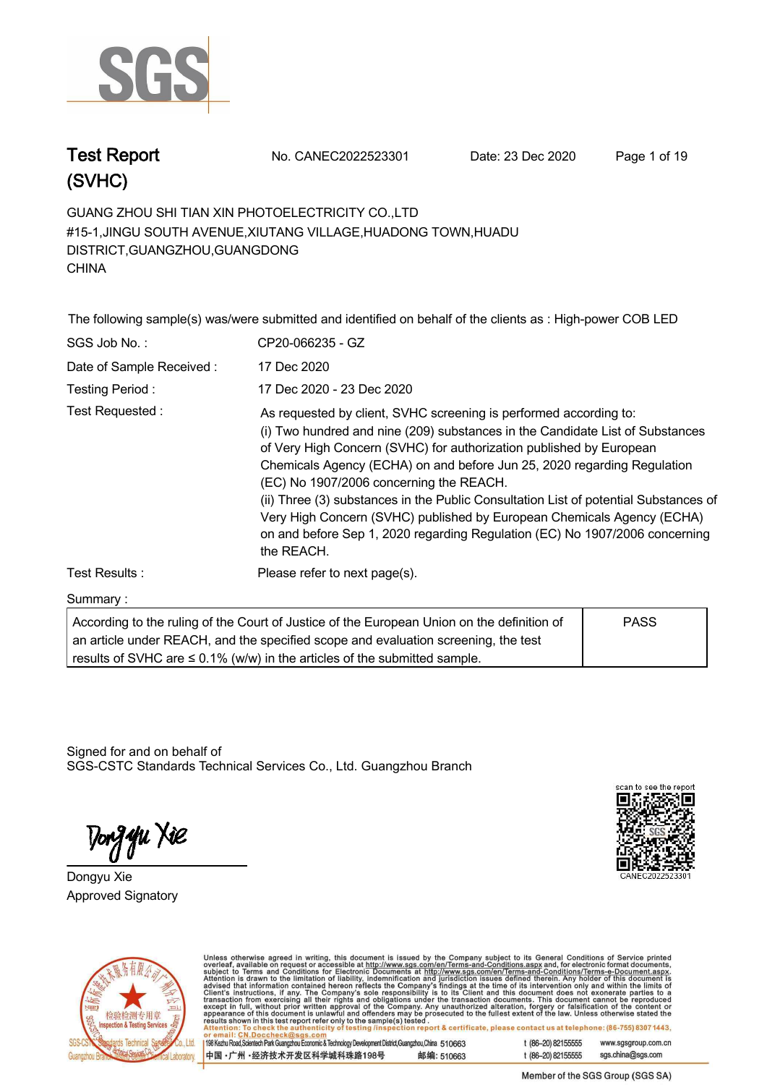

**Test Report. No. CANEC2022523301 Date: 23 Dec 2020. Page 1 of 19.**

**GUANG ZHOU SHI TIAN XIN PHOTOELECTRICITY CO.,LTD . #15-1,JINGU SOUTH AVENUE,XIUTANG VILLAGE,HUADONG TOWN,HUADU DISTRICT,GUANGZHOU,GUANGDONG CHINA.**

**The following sample(s) was/were submitted and identified on behalf of the clients as : High-power COB LED .**

| SGS Job No.:             | CP20-066235 - GZ                                                                                                                                                                                                                                                                                                                                                                                                                                                                                                                                                                                               |
|--------------------------|----------------------------------------------------------------------------------------------------------------------------------------------------------------------------------------------------------------------------------------------------------------------------------------------------------------------------------------------------------------------------------------------------------------------------------------------------------------------------------------------------------------------------------------------------------------------------------------------------------------|
| Date of Sample Received: | 17 Dec 2020                                                                                                                                                                                                                                                                                                                                                                                                                                                                                                                                                                                                    |
| Testing Period:          | 17 Dec 2020 - 23 Dec 2020                                                                                                                                                                                                                                                                                                                                                                                                                                                                                                                                                                                      |
| Test Requested:          | As requested by client, SVHC screening is performed according to:<br>(i) Two hundred and nine (209) substances in the Candidate List of Substances<br>of Very High Concern (SVHC) for authorization published by European<br>Chemicals Agency (ECHA) on and before Jun 25, 2020 regarding Regulation<br>(EC) No 1907/2006 concerning the REACH.<br>(ii) Three (3) substances in the Public Consultation List of potential Substances of<br>Very High Concern (SVHC) published by European Chemicals Agency (ECHA)<br>on and before Sep 1, 2020 regarding Regulation (EC) No 1907/2006 concerning<br>the REACH. |
| Test Results:            | Please refer to next page(s).                                                                                                                                                                                                                                                                                                                                                                                                                                                                                                                                                                                  |
| Summary:                 |                                                                                                                                                                                                                                                                                                                                                                                                                                                                                                                                                                                                                |

| According to the ruling of the Court of Justice of the European Union on the definition of | <b>PASS</b> |  |
|--------------------------------------------------------------------------------------------|-------------|--|
| an article under REACH, and the specified scope and evaluation screening, the test         |             |  |
| results of SVHC are $\leq$ 0.1% (w/w) in the articles of the submitted sample.             |             |  |

Signed for and on behalf of SGS-CSTC Standards Technical Services Co., Ltd. Guangzhou Branch.

Tong **y**u Xie

**Dongyu Xie. Approved Signatory . . .**





Unless otherwise agreed in writing, this document is issued by the Company subject to its General Conditions of Service printed<br>overleaf, available on request or accessible at http://www.sgs.com/en/Terms-and-Conditions.as on report & certificate, please contact us at telephone: (86-755) 8307 1443,

198 Kezhu Road, Scientech Park Guangzhou Economic & Technology Development District, Guangzhou, China 510663 中国·广州·经济技术开发区科学城科珠路198号 邮编: 510663

t (86-20) 82155555 www.sasaroup.com.cn

t (86-20) 82155555 sgs.china@sgs.com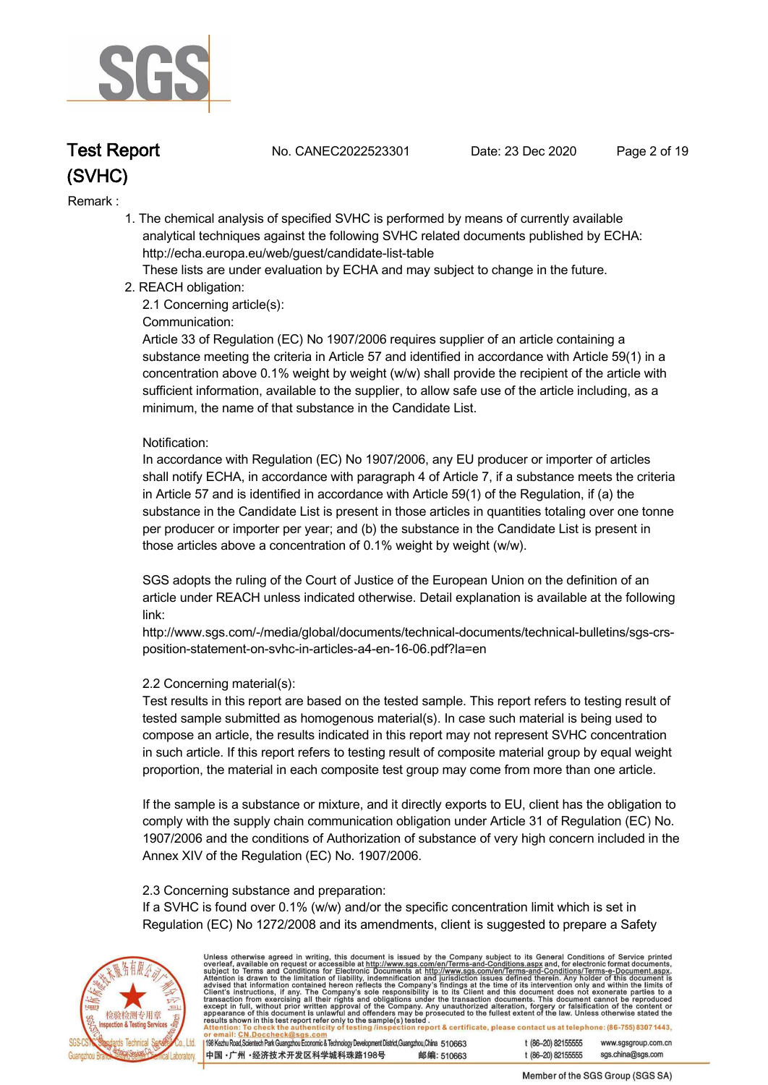

**Test Report. No. CANEC2022523301 Date: 23 Dec 2020. Page 2 of 19.**

#### **Remark :.**

 **1. The chemical analysis of specified SVHC is performed by means of currently available analytical techniques against the following SVHC related documents published by ECHA: http://echa.europa.eu/web/guest/candidate-list-table** 

 **These lists are under evaluation by ECHA and may subject to change in the future.** 

 **2. REACH obligation:** 

 **2.1 Concerning article(s):** 

#### **Communication:**

 **Article 33 of Regulation (EC) No 1907/2006 requires supplier of an article containing a substance meeting the criteria in Article 57 and identified in accordance with Article 59(1) in a concentration above 0.1% weight by weight (w/w) shall provide the recipient of the article with sufficient information, available to the supplier, to allow safe use of the article including, as a minimum, the name of that substance in the Candidate List.** 

#### **Notification:**

 **In accordance with Regulation (EC) No 1907/2006, any EU producer or importer of articles shall notify ECHA, in accordance with paragraph 4 of Article 7, if a substance meets the criteria in Article 57 and is identified in accordance with Article 59(1) of the Regulation, if (a) the substance in the Candidate List is present in those articles in quantities totaling over one tonne per producer or importer per year; and (b) the substance in the Candidate List is present in those articles above a concentration of 0.1% weight by weight (w/w).** 

 **SGS adopts the ruling of the Court of Justice of the European Union on the definition of an article under REACH unless indicated otherwise. Detail explanation is available at the following link:** 

 **http://www.sgs.com/-/media/global/documents/technical-documents/technical-bulletins/sgs-crs position-statement-on-svhc-in-articles-a4-en-16-06.pdf?la=en** 

#### **2.2 Concerning material(s):**

 **Test results in this report are based on the tested sample. This report refers to testing result of tested sample submitted as homogenous material(s). In case such material is being used to compose an article, the results indicated in this report may not represent SVHC concentration in such article. If this report refers to testing result of composite material group by equal weight proportion, the material in each composite test group may come from more than one article.** 

 **If the sample is a substance or mixture, and it directly exports to EU, client has the obligation to comply with the supply chain communication obligation under Article 31 of Regulation (EC) No. 1907/2006 and the conditions of Authorization of substance of very high concern included in the Annex XIV of the Regulation (EC) No. 1907/2006.** 

#### **2.3 Concerning substance and preparation:**

 **If a SVHC is found over 0.1% (w/w) and/or the specific concentration limit which is set in Regulation (EC) No 1272/2008 and its amendments, client is suggested to prepare a Safety** 



Unless otherwise agreed in writing, this document is issued by the Company subject to its General Conditions of Service printed<br>overleaf, available on request or accessible at http://www.sgs.com/en/Terms-and-Conditions.asp report & certificate, please contact us at telephone: (86-755) 83071443.

198 Kezhu Road, Scientech Park Guangzhou Economic & Technology Development District, Guangzhou, China 510663 邮编: 510663 中国·广州·经济技术开发区科学城科珠路198号

 $(86-20)$  82155555 www.sasaroup.com.cn t (86-20) 82155555 sgs.china@sgs.com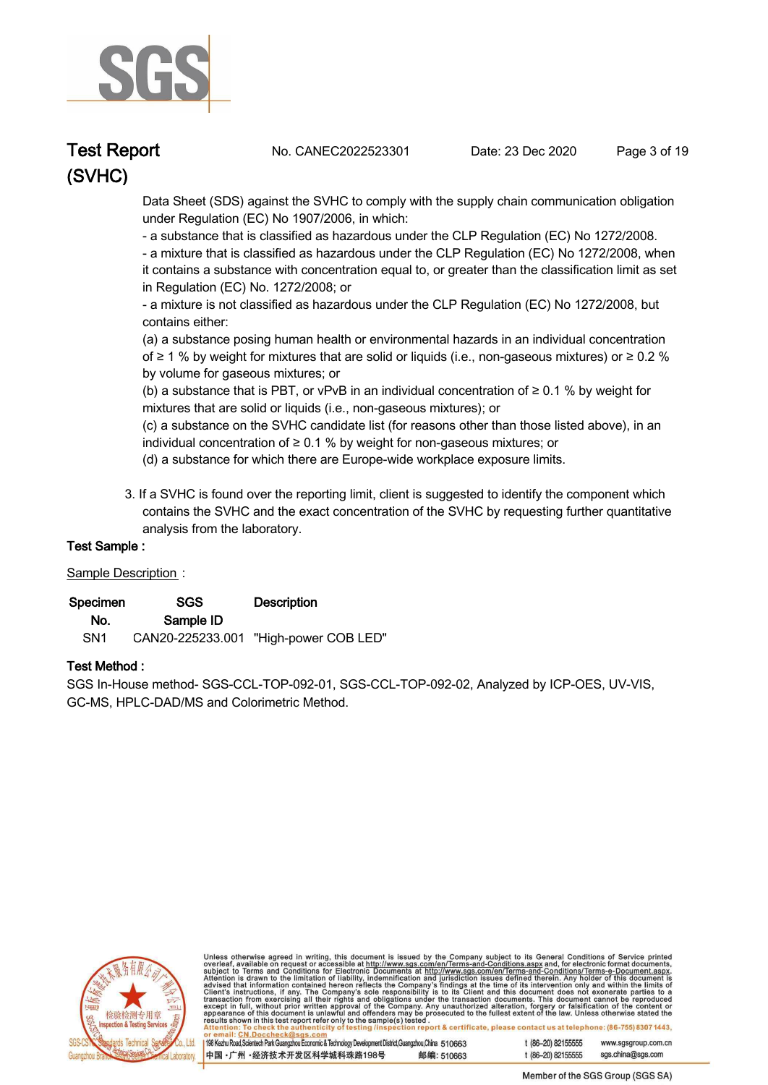

**Test Report. No. CANEC2022523301 Date: 23 Dec 2020. Page 3 of 19.**

 **Data Sheet (SDS) against the SVHC to comply with the supply chain communication obligation under Regulation (EC) No 1907/2006, in which:** 

 **- a substance that is classified as hazardous under the CLP Regulation (EC) No 1272/2008.** 

 **- a mixture that is classified as hazardous under the CLP Regulation (EC) No 1272/2008, when it contains a substance with concentration equal to, or greater than the classification limit as set in Regulation (EC) No. 1272/2008; or** 

 **- a mixture is not classified as hazardous under the CLP Regulation (EC) No 1272/2008, but contains either:** 

 **(a) a substance posing human health or environmental hazards in an individual concentration of ≥ 1 % by weight for mixtures that are solid or liquids (i.e., non-gaseous mixtures) or ≥ 0.2 % by volume for gaseous mixtures; or** 

 **(b) a substance that is PBT, or vPvB in an individual concentration of ≥ 0.1 % by weight for mixtures that are solid or liquids (i.e., non-gaseous mixtures); or** 

 **(c) a substance on the SVHC candidate list (for reasons other than those listed above), in an individual concentration of ≥ 0.1 % by weight for non-gaseous mixtures; or** 

- **(d) a substance for which there are Europe-wide workplace exposure limits.**
- **3. If a SVHC is found over the reporting limit, client is suggested to identify the component which contains the SVHC and the exact concentration of the SVHC by requesting further quantitative analysis from the laboratory.**

### **Test Sample :.**

#### **Sample Description :.**

| Specimen        | SGS       | <b>Description</b>                    |  |
|-----------------|-----------|---------------------------------------|--|
| No.             | Sample ID |                                       |  |
| SN <sub>1</sub> |           | CAN20-225233.001 "High-power COB LED" |  |

#### **Test Method :.**

**SGS In-House method- SGS-CCL-TOP-092-01, SGS-CCL-TOP-092-02, Analyzed by ICP-OES, UV-VIS, GC-MS, HPLC-DAD/MS and Colorimetric Method. .**



Unless otherwise agreed in writing, this document is issued by the Company subject to its General Conditions of Service printed<br>overleaf, available on request or accessible at http://www.sgs.com/en/Terms-and-Conditions.asp report & certificate, please contact us at telephone: (86-755) 8307 1443.

198 Kezhu Road, Scientech Park Guangzhou Economic & Technology Development District, Guangzhou, China 510663

中国·广州·经济技术开发区科学城科珠路198号 邮编: 510663  $(86-20)$  82155555 www.sasaroup.com.cn t (86-20) 82155555 sgs.china@sgs.com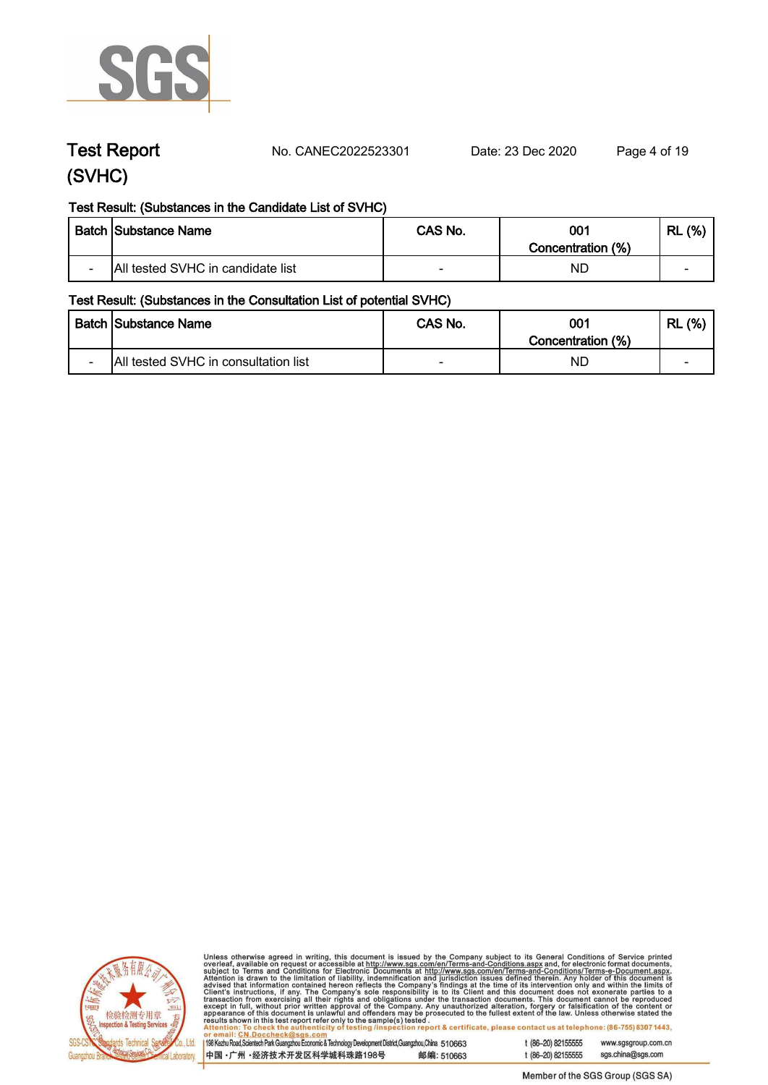

**Test Report. No. CANEC2022523301 Date: 23 Dec 2020. Page 4 of 19.**

### **Test Result: (Substances in the Candidate List of SVHC)**

|                          | <b>Batch Substance Name</b>       | CAS No. | 001<br>Concentration (%) | (% )<br>RL |
|--------------------------|-----------------------------------|---------|--------------------------|------------|
| $\overline{\phantom{0}}$ | All tested SVHC in candidate list |         | ND.                      | -          |

#### **Test Result: (Substances in the Consultation List of potential SVHC)**

|                          | <b>Batch Substance Name</b>          | CAS No. | 001<br>Concentration (%) | (% )<br>RL |
|--------------------------|--------------------------------------|---------|--------------------------|------------|
| $\overline{\phantom{0}}$ | All tested SVHC in consultation list | -       | ND.                      | -          |



Unless otherwise agreed in writing, this document is issued by the Company subject to its General Conditions of Service printed overleaf, available on request or accessible at http://www.sgs.com/en/Terms-and-Conditions.as in sample(s) lested .<br>ting /inspection report & certificate, please contact us at telephone: (86-755) 8307 1443,

198 Kezhu Road, Scientech Park Guangzhou Economic & Technology Development District, Guangzhou, China 510663 t (86-20) 82155555 www.sasaroup.com.cn

中国·广州·经济技术开发区科学城科珠路198号 邮编: 510663

sgs.china@sgs.com t (86-20) 82155555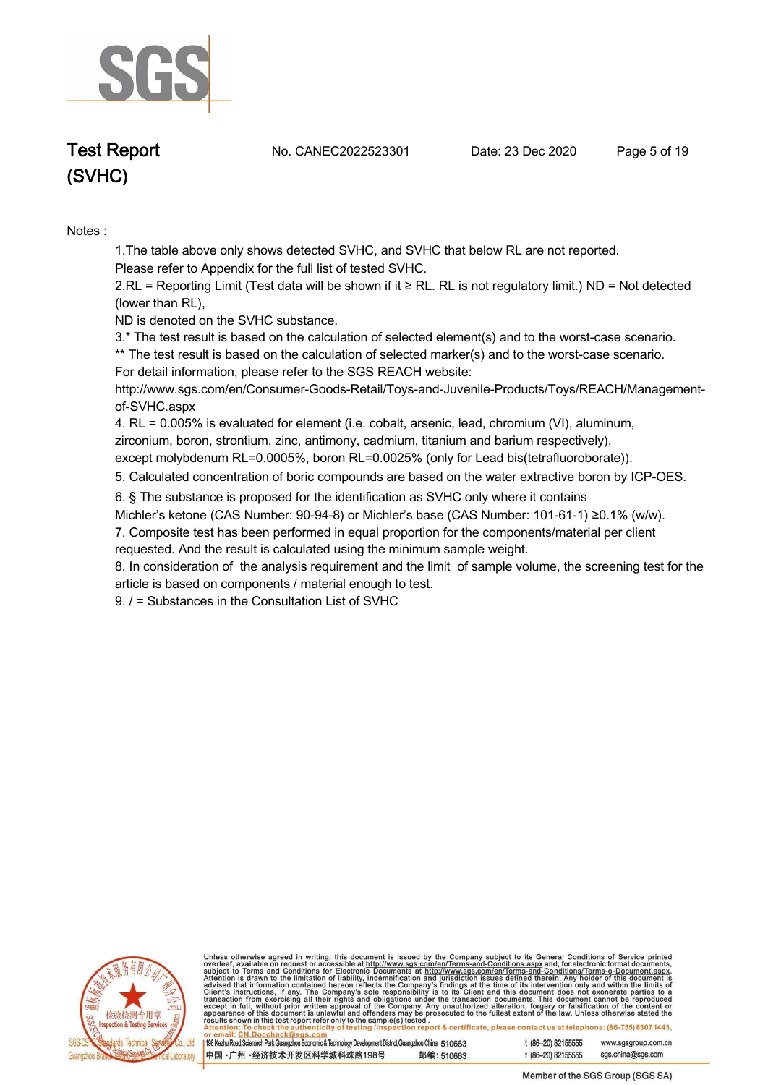

**Test Report. No. CANEC2022523301 Date: 23 Dec 2020. Page 5 of 19.**

# **(SVHC)**

**Notes :.**

**1.The table above only shows detected SVHC, and SVHC that below RL are not reported.** 

**Please refer to Appendix for the full list of tested SVHC.**

**2.RL = Reporting Limit (Test data will be shown if it ≥ RL. RL is not regulatory limit.) ND = Not detected (lower than RL),** 

**ND is denoted on the SVHC substance.**

**3.\* The test result is based on the calculation of selected element(s) and to the worst-case scenario.** 

**\*\* The test result is based on the calculation of selected marker(s) and to the worst-case scenario. For detail information, please refer to the SGS REACH website:** 

**http://www.sgs.com/en/Consumer-Goods-Retail/Toys-and-Juvenile-Products/Toys/REACH/Managementof-SVHC.aspx**

**4. RL = 0.005% is evaluated for element (i.e. cobalt, arsenic, lead, chromium (VI), aluminum, zirconium, boron, strontium, zinc, antimony, cadmium, titanium and barium respectively),** 

**except molybdenum RL=0.0005%, boron RL=0.0025% (only for Lead bis(tetrafluoroborate)). .**

**5. Calculated concentration of boric compounds are based on the water extractive boron by ICP-OES. .**

**6. § The substance is proposed for the identification as SVHC only where it contains** 

**Michler's ketone (CAS Number: 90-94-8) or Michler's base (CAS Number: 101-61-1) ≥0.1% (w/w).**

**7. Composite test has been performed in equal proportion for the components/material per client requested. And the result is calculated using the minimum sample weight.**

**8. In consideration of the analysis requirement and the limit of sample volume, the screening test for the article is based on components / material enough to test.**

**9. / = Substances in the Consultation List of SVHC .**



Unless otherwise agreed in writing, this document is issued by the Company subject to its General Conditions of Service printed<br>overleaf, available on request or accessible at http://www.sgs.com/en/Terms-and-Conditions.asp .u.<br>report & certificate, please contact us at telephone: (86-755) 8307 1443.

198 Kezhu Road, Scientech Park Guangzhou Economic & Technology Development District, Guangzhou, China 510663 1 (86-20) 82155555 www.sasaroup.com.cn

中国·广州·经济技术开发区科学城科珠路198号 邮编: 510663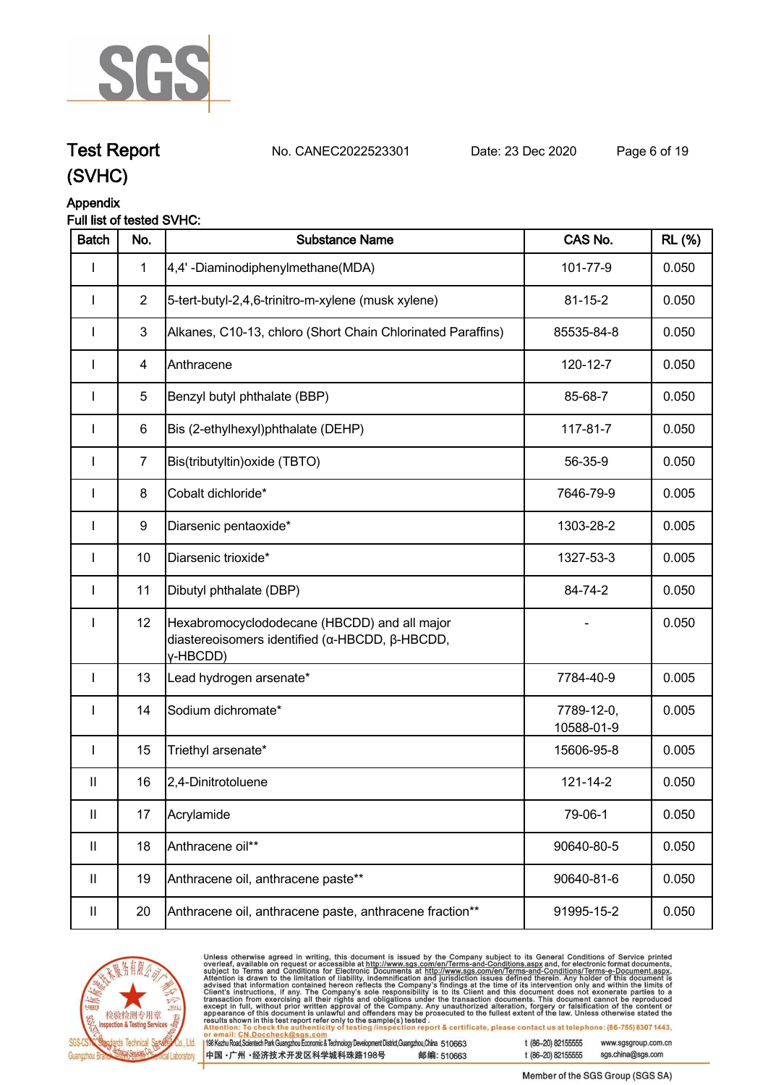

**Test Report. No. CANEC2022523301 Date: 23 Dec 2020. Page 6 of 19. (SVHC)**

### **Appendix**

### **Full list of tested SVHC:**

| <b>Batch</b>               | No.            | <b>Substance Name</b>                                                                                      | CAS No.                  | <b>RL</b> (%) |
|----------------------------|----------------|------------------------------------------------------------------------------------------------------------|--------------------------|---------------|
| I                          | $\mathbf{1}$   | 4,4'-Diaminodiphenylmethane(MDA)                                                                           | 101-77-9                 | 0.050         |
| $\mathbf{I}$               | $\overline{2}$ | 5-tert-butyl-2,4,6-trinitro-m-xylene (musk xylene)                                                         | $81 - 15 - 2$            | 0.050         |
|                            | $\mathbf{3}$   | Alkanes, C10-13, chloro (Short Chain Chlorinated Paraffins)                                                | 85535-84-8               | 0.050         |
|                            | 4              | Anthracene                                                                                                 | 120-12-7                 | 0.050         |
| L                          | 5              | Benzyl butyl phthalate (BBP)                                                                               | 85-68-7                  | 0.050         |
| I                          | 6              | Bis (2-ethylhexyl)phthalate (DEHP)                                                                         | 117-81-7                 | 0.050         |
| I                          | $\overline{7}$ | Bis(tributyltin) oxide (TBTO)                                                                              | 56-35-9                  | 0.050         |
| $\mathbf{I}$               | 8              | Cobalt dichloride*                                                                                         | 7646-79-9                | 0.005         |
| I                          | 9              | Diarsenic pentaoxide*                                                                                      | 1303-28-2                | 0.005         |
| $\mathbf{I}$               | 10             | Diarsenic trioxide*                                                                                        | 1327-53-3                | 0.005         |
| $\mathbf{I}$               | 11             | Dibutyl phthalate (DBP)                                                                                    | 84-74-2                  | 0.050         |
| I                          | 12             | Hexabromocyclododecane (HBCDD) and all major<br>diastereoisomers identified (α-HBCDD, β-HBCDD,<br>y-HBCDD) |                          | 0.050         |
| $\mathbf{I}$               | 13             | Lead hydrogen arsenate*                                                                                    | 7784-40-9                | 0.005         |
| $\mathbf{I}$               | 14             | Sodium dichromate*                                                                                         | 7789-12-0,<br>10588-01-9 | 0.005         |
| I                          | 15             | Triethyl arsenate*                                                                                         | 15606-95-8               | 0.005         |
| Ш                          | 16             | 2,4-Dinitrotoluene                                                                                         | 121-14-2                 | 0.050         |
| $\sf II$                   | 17             | Acrylamide                                                                                                 | 79-06-1                  | 0.050         |
| $\mathbf{II}$              | 18             | Anthracene oil**                                                                                           | 90640-80-5               | 0.050         |
| $\mathbf{II}$              | 19             | Anthracene oil, anthracene paste**                                                                         | 90640-81-6               | 0.050         |
| $\ensuremath{\mathsf{II}}$ | 20             | Anthracene oil, anthracene paste, anthracene fraction**                                                    | 91995-15-2               | 0.050         |



Unless otherwise agreed in writing, this document is issued by the Company subject to its General Conditions of Service printed overleaf, available on request or accessible at http://www.sgs.com/en/Terms-and-Conditions.as

198 Kezhu Road, Scientech Park Guangzhou Economic & Technology Development District, Guangzhou, China 510663 中国·广州·经济技术开发区科学城科珠路198号 邮编: 510663 t (86-20) 82155555 www.sgsgroup.com.cn sgs.china@sgs.com t (86-20) 82155555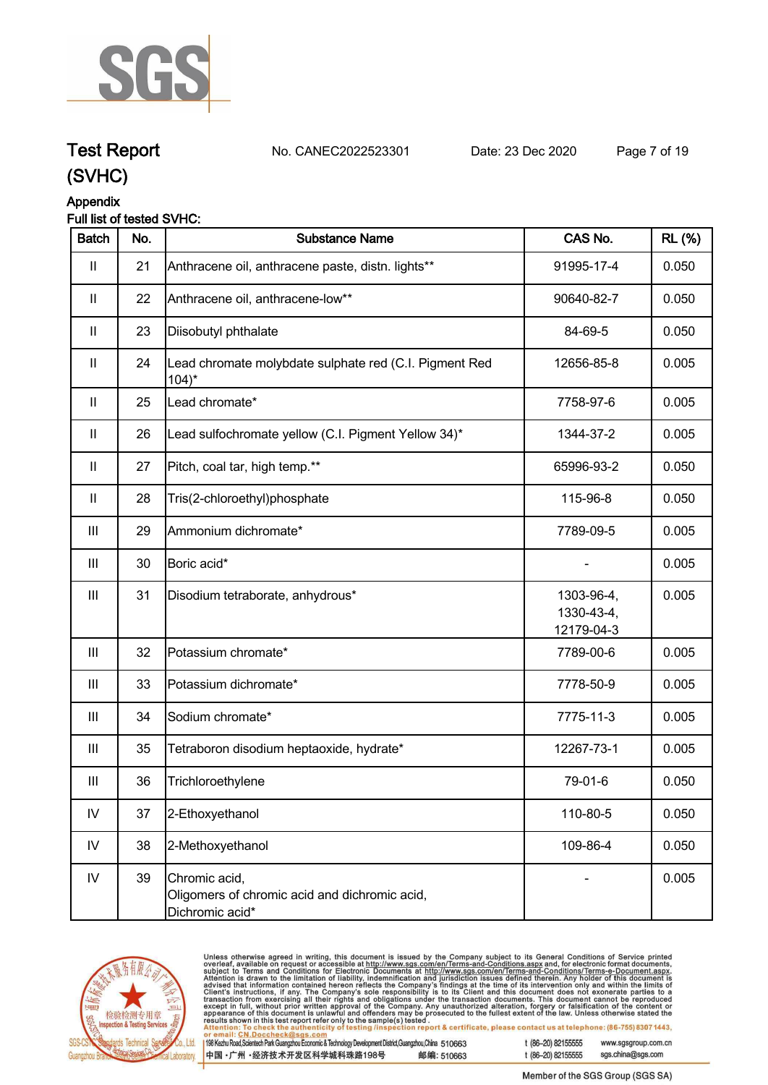

### **Test Report. No. CANEC2022523301 Date: 23 Dec 2020. Page 7 of 19.**

**(SVHC)**

### **Appendix**

### **Full list of tested SVHC:**

| <b>Batch</b>               | No. | <b>Substance Name</b>                                                             | CAS No.                                | <b>RL</b> (%) |
|----------------------------|-----|-----------------------------------------------------------------------------------|----------------------------------------|---------------|
| $\mathbf{II}$              | 21  | Anthracene oil, anthracene paste, distn. lights**                                 | 91995-17-4                             | 0.050         |
| $\mathbf{II}$              | 22  | Anthracene oil, anthracene-low**                                                  | 90640-82-7                             | 0.050         |
| $\mathbf{II}$              | 23  | Diisobutyl phthalate                                                              | 84-69-5                                | 0.050         |
| $\ensuremath{\mathsf{II}}$ | 24  | Lead chromate molybdate sulphate red (C.I. Pigment Red<br>$104$ <sup>*</sup>      | 12656-85-8                             | 0.005         |
| $\mathbf{II}$              | 25  | Lead chromate*                                                                    | 7758-97-6                              | 0.005         |
| $\ensuremath{\mathsf{II}}$ | 26  | Lead sulfochromate yellow (C.I. Pigment Yellow 34)*                               | 1344-37-2                              | 0.005         |
| $\mathbf{II}$              | 27  | Pitch, coal tar, high temp.**                                                     | 65996-93-2                             | 0.050         |
| $\mathbf{II}$              | 28  | Tris(2-chloroethyl)phosphate                                                      | 115-96-8                               | 0.050         |
| Ш                          | 29  | Ammonium dichromate*                                                              | 7789-09-5                              | 0.005         |
| $\mathbf{III}$             | 30  | Boric acid*                                                                       |                                        | 0.005         |
| $\  \ $                    | 31  | Disodium tetraborate, anhydrous*                                                  | 1303-96-4,<br>1330-43-4,<br>12179-04-3 | 0.005         |
| $\mathbf{III}$             | 32  | Potassium chromate*                                                               | 7789-00-6                              | 0.005         |
| Ш                          | 33  | Potassium dichromate*                                                             | 7778-50-9                              | 0.005         |
| $\  \ $                    | 34  | Sodium chromate*                                                                  | 7775-11-3                              | 0.005         |
| $\mathbf{III}$             | 35  | Tetraboron disodium heptaoxide, hydrate*                                          | 12267-73-1                             | 0.005         |
| Ш                          | 36  | Trichloroethylene                                                                 | 79-01-6                                | 0.050         |
| ${\sf IV}$                 | 37  | 2-Ethoxyethanol                                                                   | 110-80-5                               | 0.050         |
| IV                         | 38  | 2-Methoxyethanol                                                                  | 109-86-4                               | 0.050         |
| IV                         | 39  | Chromic acid,<br>Oligomers of chromic acid and dichromic acid,<br>Dichromic acid* |                                        | 0.005         |



Unless otherwise agreed in writing, this document is issued by the Company subject to its General Conditions of Service printed overleaf, available on request or accessible at http://www.sgs.com/en/Terms-and-Conditions.as

198 Kezhu Road, Scientech Park Guangzhou Economic & Technology Development District, Guangzhou, China 510663 中国·广州·经济技术开发区科学城科珠路198号 邮编: 510663 t (86-20) 82155555 www.sasaroup.com.cn t (86-20) 82155555

sgs.china@sgs.com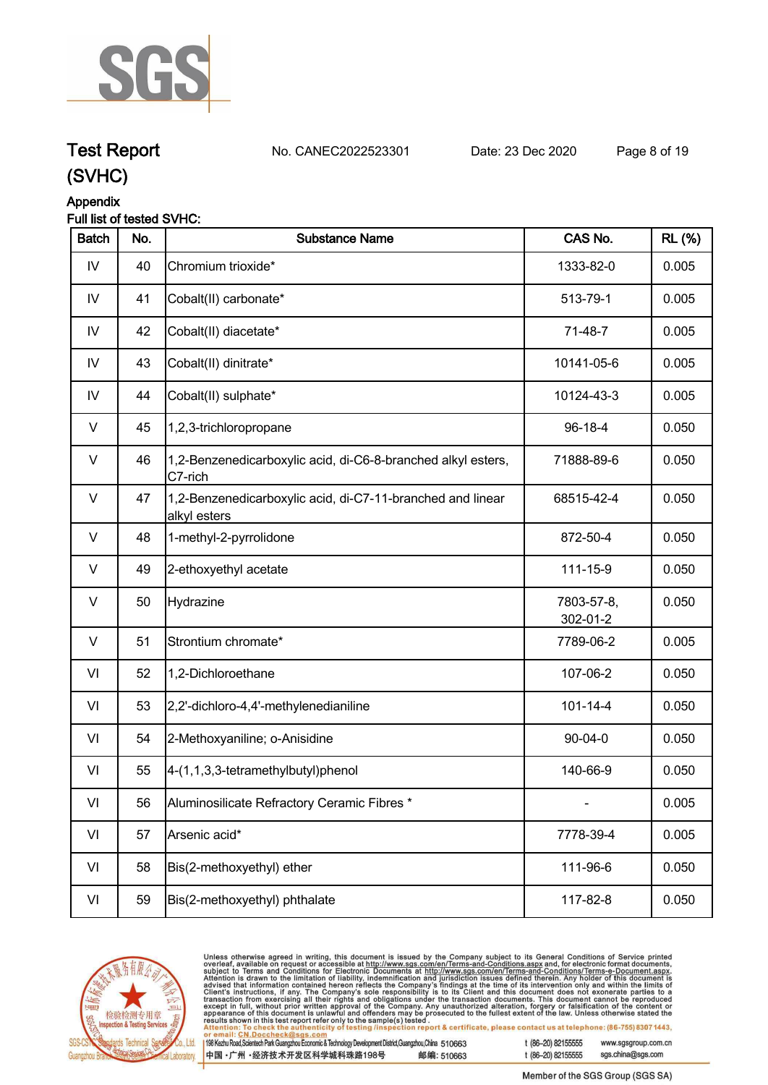

### **Test Report. No. CANEC2022523301 Date: 23 Dec 2020. Page 8 of 19.**

**(SVHC)**

### **Appendix**

### **Full list of tested SVHC:**

| <b>Batch</b>  | No. | <b>Substance Name</b>                                                      | CAS No.                | <b>RL</b> (%) |
|---------------|-----|----------------------------------------------------------------------------|------------------------|---------------|
| IV            | 40  | Chromium trioxide*                                                         | 1333-82-0              | 0.005         |
| $\mathsf{IV}$ | 41  | Cobalt(II) carbonate*                                                      | 513-79-1               | 0.005         |
| IV            | 42  | Cobalt(II) diacetate*                                                      | 71-48-7                | 0.005         |
| IV            | 43  | Cobalt(II) dinitrate*                                                      | 10141-05-6             | 0.005         |
| $\mathsf{IV}$ | 44  | Cobalt(II) sulphate*                                                       | 10124-43-3             | 0.005         |
| V             | 45  | 1,2,3-trichloropropane                                                     | 96-18-4                | 0.050         |
| $\vee$        | 46  | 1,2-Benzenedicarboxylic acid, di-C6-8-branched alkyl esters,<br>C7-rich    | 71888-89-6             | 0.050         |
| $\vee$        | 47  | 1,2-Benzenedicarboxylic acid, di-C7-11-branched and linear<br>alkyl esters | 68515-42-4             | 0.050         |
| $\vee$        | 48  | 1-methyl-2-pyrrolidone                                                     | 872-50-4               | 0.050         |
| $\vee$        | 49  | 2-ethoxyethyl acetate                                                      | 111-15-9               | 0.050         |
| $\vee$        | 50  | Hydrazine                                                                  | 7803-57-8,<br>302-01-2 | 0.050         |
| $\vee$        | 51  | Strontium chromate*                                                        | 7789-06-2              | 0.005         |
| VI            | 52  | 1,2-Dichloroethane                                                         | 107-06-2               | 0.050         |
| VI            | 53  | 2,2'-dichloro-4,4'-methylenedianiline                                      | $101 - 14 - 4$         | 0.050         |
| VI            | 54  | 2-Methoxyaniline; o-Anisidine                                              | $90 - 04 - 0$          | 0.050         |
| VI            | 55  | 4-(1,1,3,3-tetramethylbutyl)phenol                                         | 140-66-9               | 0.050         |
| VI            | 56  | Aluminosilicate Refractory Ceramic Fibres *                                |                        | 0.005         |
| VI            | 57  | Arsenic acid*                                                              | 7778-39-4              | 0.005         |
| VI            | 58  | Bis(2-methoxyethyl) ether                                                  | 111-96-6               | 0.050         |
| VI            | 59  | Bis(2-methoxyethyl) phthalate                                              | 117-82-8               | 0.050         |



Unless otherwise agreed in writing, this document is issued by the Company subject to its General Conditions of Service printed overleaf, available on request or accessible at http://www.sgs.com/en/Terms-and-Conditions.as

198 Kezhu Road, Scientech Park Guangzhou Economic & Technology Development District, Guangzhou, China 510663

中国·广州·经济技术开发区科学城科珠路198号 邮编: 510663

t (86-20) 82155555 www.sasaroup.com.cn

sgs.china@sgs.com t (86-20) 82155555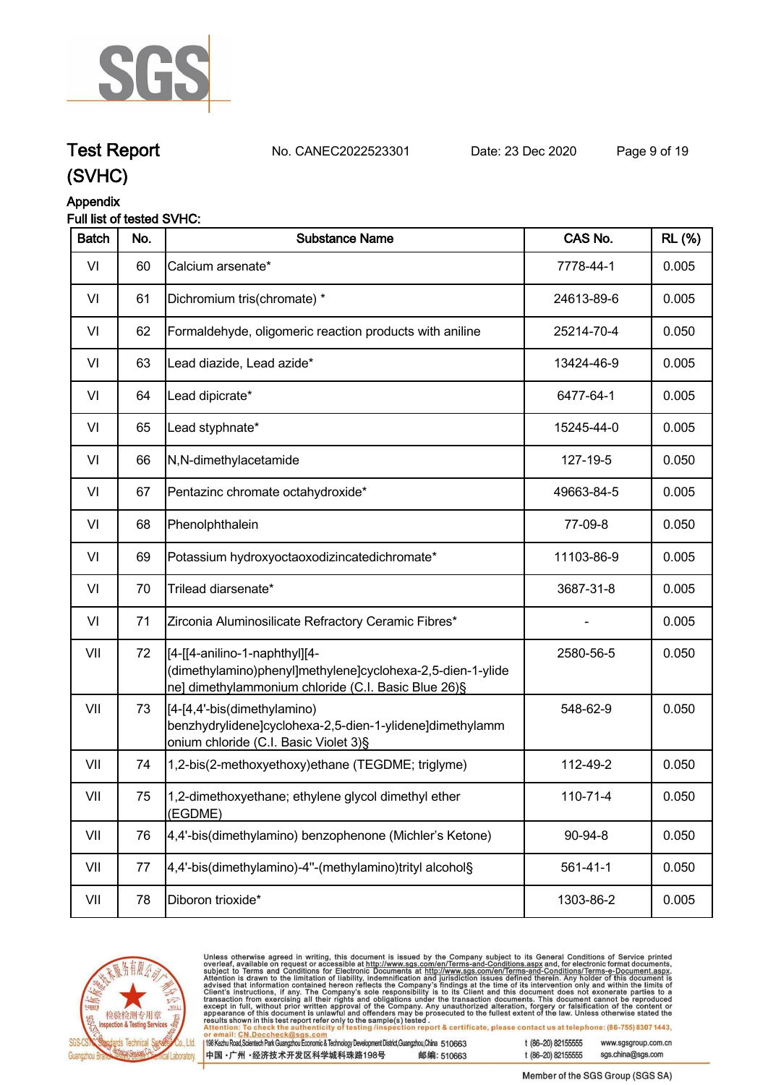

## **Test Report. No. CANEC2022523301 Date: 23 Dec 2020. Page 9 of 19.**

### **(SVHC)**

### **Appendix**

### **Full list of tested SVHC:**

| <b>Batch</b> | No. | <b>Substance Name</b>                                                                                                                              | CAS No.        | <b>RL (%)</b> |
|--------------|-----|----------------------------------------------------------------------------------------------------------------------------------------------------|----------------|---------------|
| VI           | 60  | Calcium arsenate*                                                                                                                                  | 7778-44-1      | 0.005         |
| VI           | 61  | Dichromium tris(chromate) *                                                                                                                        | 24613-89-6     | 0.005         |
| VI           | 62  | Formaldehyde, oligomeric reaction products with aniline                                                                                            | 25214-70-4     | 0.050         |
| VI           | 63  | Lead diazide, Lead azide*                                                                                                                          | 13424-46-9     | 0.005         |
| VI           | 64  | Lead dipicrate*                                                                                                                                    | 6477-64-1      | 0.005         |
| VI           | 65  | Lead styphnate*                                                                                                                                    | 15245-44-0     | 0.005         |
| VI           | 66  | N,N-dimethylacetamide                                                                                                                              | 127-19-5       | 0.050         |
| VI           | 67  | Pentazinc chromate octahydroxide*                                                                                                                  | 49663-84-5     | 0.005         |
| VI           | 68  | Phenolphthalein                                                                                                                                    | 77-09-8        | 0.050         |
| VI           | 69  | Potassium hydroxyoctaoxodizincatedichromate*                                                                                                       | 11103-86-9     | 0.005         |
| VI           | 70  | Trilead diarsenate*                                                                                                                                | 3687-31-8      | 0.005         |
| VI           | 71  | Zirconia Aluminosilicate Refractory Ceramic Fibres*                                                                                                |                | 0.005         |
| VII          | 72  | [4-[[4-anilino-1-naphthyl][4-<br>(dimethylamino)phenyl]methylene]cyclohexa-2,5-dien-1-ylide<br>ne] dimethylammonium chloride (C.I. Basic Blue 26)§ | 2580-56-5      | 0.050         |
| VII          | 73  | [[4-[4,4'-bis(dimethylamino)<br>benzhydrylidene]cyclohexa-2,5-dien-1-ylidene]dimethylamm<br>onium chloride (C.I. Basic Violet 3)§                  | 548-62-9       | 0.050         |
| VII          | 74  | 1,2-bis(2-methoxyethoxy)ethane (TEGDME; triglyme)                                                                                                  | 112-49-2       | 0.050         |
| VII          | 75  | 1,2-dimethoxyethane; ethylene glycol dimethyl ether<br>(EGDME)                                                                                     | 110-71-4       | 0.050         |
| VII          | 76  | 4,4'-bis(dimethylamino) benzophenone (Michler's Ketone)                                                                                            | 90-94-8        | 0.050         |
| VII          | 77  | 4,4'-bis(dimethylamino)-4"-(methylamino)trityl alcohol§                                                                                            | $561 - 41 - 1$ | 0.050         |
| VII          | 78  | Diboron trioxide*                                                                                                                                  | 1303-86-2      | 0.005         |
|              |     |                                                                                                                                                    |                |               |



Unless otherwise agreed in writing, this document is issued by the Company subject to its General Conditions of Service printed overleaf, available on request or accessible at http://www.sgs.com/en/Terms-and-Conditions.as , lesled .<br>tion report & certificate, please contact us at telephone: (86-755) 8307 1443,

198 Kezhu Road, Scientech Park Guangzhou Economic & Technology Development District, Guangzhou, China 510663 中国·广州·经济技术开发区科学城科珠路198号 邮编: 510663 t (86-20) 82155555 www.sgsgroup.com.cn

sgs.china@sgs.com t (86-20) 82155555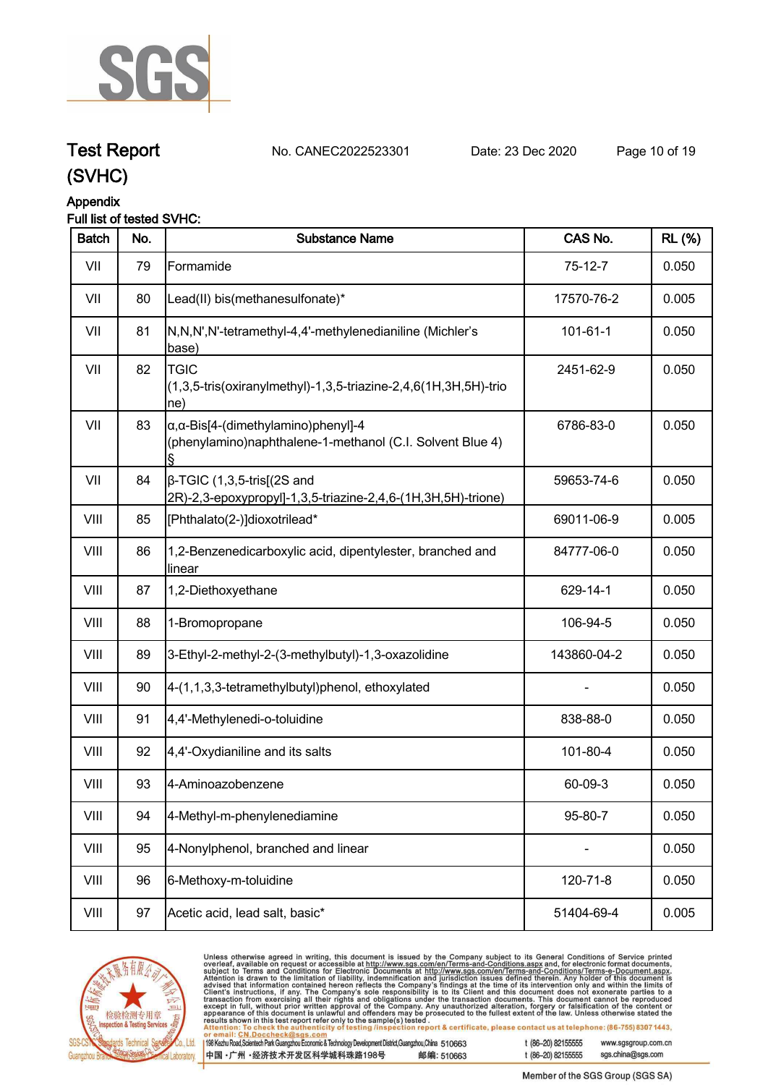

**Test Report. No. CANEC2022523301 Date: 23 Dec 2020. Page 10 of 19.**

### **Appendix**

### **Full list of tested SVHC:**

| <b>Batch</b> | No. | <b>Substance Name</b>                                                                                            | CAS No.     | <b>RL</b> (%) |
|--------------|-----|------------------------------------------------------------------------------------------------------------------|-------------|---------------|
| VII          | 79  | Formamide                                                                                                        | $75-12-7$   | 0.050         |
| VII          | 80  | Lead(II) bis(methanesulfonate)*                                                                                  | 17570-76-2  | 0.005         |
| VII          | 81  | N,N,N',N'-tetramethyl-4,4'-methylenedianiline (Michler's<br>base)                                                | 101-61-1    | 0.050         |
| VII          | 82  | <b>TGIC</b><br>(1,3,5-tris(oxiranylmethyl)-1,3,5-triazine-2,4,6(1H,3H,5H)-trio<br>$ ne\rangle$                   | 2451-62-9   | 0.050         |
| VII          | 83  | $\alpha$ , $\alpha$ -Bis[4-(dimethylamino)phenyl]-4<br>(phenylamino)naphthalene-1-methanol (C.I. Solvent Blue 4) | 6786-83-0   | 0.050         |
| VII          | 84  | $\beta$ -TGIC (1,3,5-tris[(2S and<br>2R)-2,3-epoxypropyl]-1,3,5-triazine-2,4,6-(1H,3H,5H)-trione)                | 59653-74-6  | 0.050         |
| VIII         | 85  | [Phthalato(2-)]dioxotrilead*                                                                                     | 69011-06-9  | 0.005         |
| VIII         | 86  | 1,2-Benzenedicarboxylic acid, dipentylester, branched and<br>linear                                              | 84777-06-0  | 0.050         |
| VIII         | 87  | 1,2-Diethoxyethane                                                                                               | 629-14-1    | 0.050         |
| VIII         | 88  | 1-Bromopropane                                                                                                   | 106-94-5    | 0.050         |
| VIII         | 89  | 3-Ethyl-2-methyl-2-(3-methylbutyl)-1,3-oxazolidine                                                               | 143860-04-2 | 0.050         |
| VIII         | 90  | 4-(1,1,3,3-tetramethylbutyl)phenol, ethoxylated                                                                  |             | 0.050         |
| VIII         | 91  | 4,4'-Methylenedi-o-toluidine                                                                                     | 838-88-0    | 0.050         |
| VIII         | 92  | 4,4'-Oxydianiline and its salts                                                                                  | 101-80-4    | 0.050         |
| VIII         | 93  | 4-Aminoazobenzene                                                                                                | 60-09-3     | 0.050         |
| VIII         | 94  | 4-Methyl-m-phenylenediamine                                                                                      | 95-80-7     | 0.050         |
| VIII         | 95  | 4-Nonylphenol, branched and linear                                                                               |             | 0.050         |
| VIII         | 96  | 6-Methoxy-m-toluidine                                                                                            | 120-71-8    | 0.050         |
| VIII         | 97  | Acetic acid, lead salt, basic*                                                                                   | 51404-69-4  | 0.005         |



Unless otherwise agreed in writing, this document is issued by the Company subject to its General Conditions of Service printed overleaf, available on request or accessible at http://www.sgs.com/en/Terms-and-Conditions.as

198 Kezhu Road, Scientech Park Guangzhou Economic & Technology Development District, Guangzhou, China 510663 中国·广州·经济技术开发区科学城科珠路198号 邮编: 510663 t (86-20) 82155555 www.sgsgroup.com.cn

sgs.china@sgs.com t (86-20) 82155555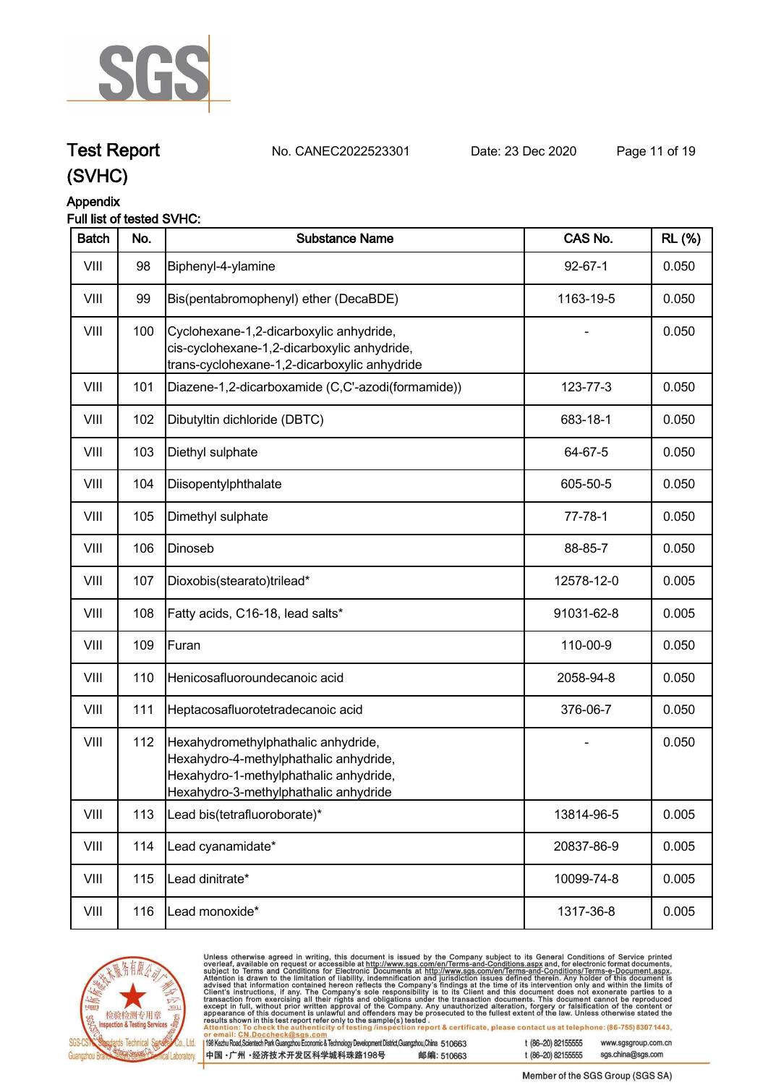

### **Test Report. No. CANEC2022523301 Date: 23 Dec 2020. Page 11 of 19.**

### **(SVHC)**

### **Appendix**

### **Full list of tested SVHC:**

| <b>Batch</b> | No. | <b>Substance Name</b>                                                                                                                                            | CAS No.       | <b>RL</b> (%) |
|--------------|-----|------------------------------------------------------------------------------------------------------------------------------------------------------------------|---------------|---------------|
| VIII         | 98  | Biphenyl-4-ylamine                                                                                                                                               | $92 - 67 - 1$ | 0.050         |
| VIII         | 99  | Bis(pentabromophenyl) ether (DecaBDE)                                                                                                                            | 1163-19-5     | 0.050         |
| VIII         | 100 | Cyclohexane-1,2-dicarboxylic anhydride,<br>cis-cyclohexane-1,2-dicarboxylic anhydride,<br>trans-cyclohexane-1,2-dicarboxylic anhydride                           |               | 0.050         |
| VIII         | 101 | Diazene-1,2-dicarboxamide (C,C'-azodi(formamide))                                                                                                                | 123-77-3      | 0.050         |
| VIII         | 102 | Dibutyltin dichloride (DBTC)                                                                                                                                     | 683-18-1      | 0.050         |
| VIII         | 103 | Diethyl sulphate                                                                                                                                                 | 64-67-5       | 0.050         |
| VIII         | 104 | Diisopentylphthalate                                                                                                                                             | 605-50-5      | 0.050         |
| VIII         | 105 | Dimethyl sulphate                                                                                                                                                | $77 - 78 - 1$ | 0.050         |
| VIII         | 106 | Dinoseb                                                                                                                                                          | 88-85-7       | 0.050         |
| VIII         | 107 | Dioxobis(stearato)trilead*                                                                                                                                       | 12578-12-0    | 0.005         |
| VIII         | 108 | Fatty acids, C16-18, lead salts*                                                                                                                                 | 91031-62-8    | 0.005         |
| VIII         | 109 | Furan                                                                                                                                                            | 110-00-9      | 0.050         |
| VIII         | 110 | Henicosafluoroundecanoic acid                                                                                                                                    | 2058-94-8     | 0.050         |
| VIII         | 111 | Heptacosafluorotetradecanoic acid                                                                                                                                | 376-06-7      | 0.050         |
| VIII         | 112 | Hexahydromethylphathalic anhydride,<br>Hexahydro-4-methylphathalic anhydride,<br>Hexahydro-1-methylphathalic anhydride,<br>Hexahydro-3-methylphathalic anhydride |               | 0.050         |
| VIII         | 113 | Lead bis(tetrafluoroborate)*                                                                                                                                     | 13814-96-5    | 0.005         |
| VIII         | 114 | Lead cyanamidate*                                                                                                                                                | 20837-86-9    | 0.005         |
| VIII         | 115 | Lead dinitrate*                                                                                                                                                  | 10099-74-8    | 0.005         |
| VIII         | 116 | Lead monoxide*                                                                                                                                                   | 1317-36-8     | 0.005         |



Unless otherwise agreed in writing, this document is issued by the Company subject to its General Conditions of Service printed overleaf, available on request or accessible at http://www.sgs.com/en/Terms-and-Conditions.as

198 Kezhu Road, Scientech Park Guangzhou Economic & Technology Development District, Guangzhou, China 510663 中国·广州·经济技术开发区科学城科珠路198号 邮编: 510663 t (86-20) 82155555 www.sgsgroup.com.cn sgs.china@sgs.com t (86-20) 82155555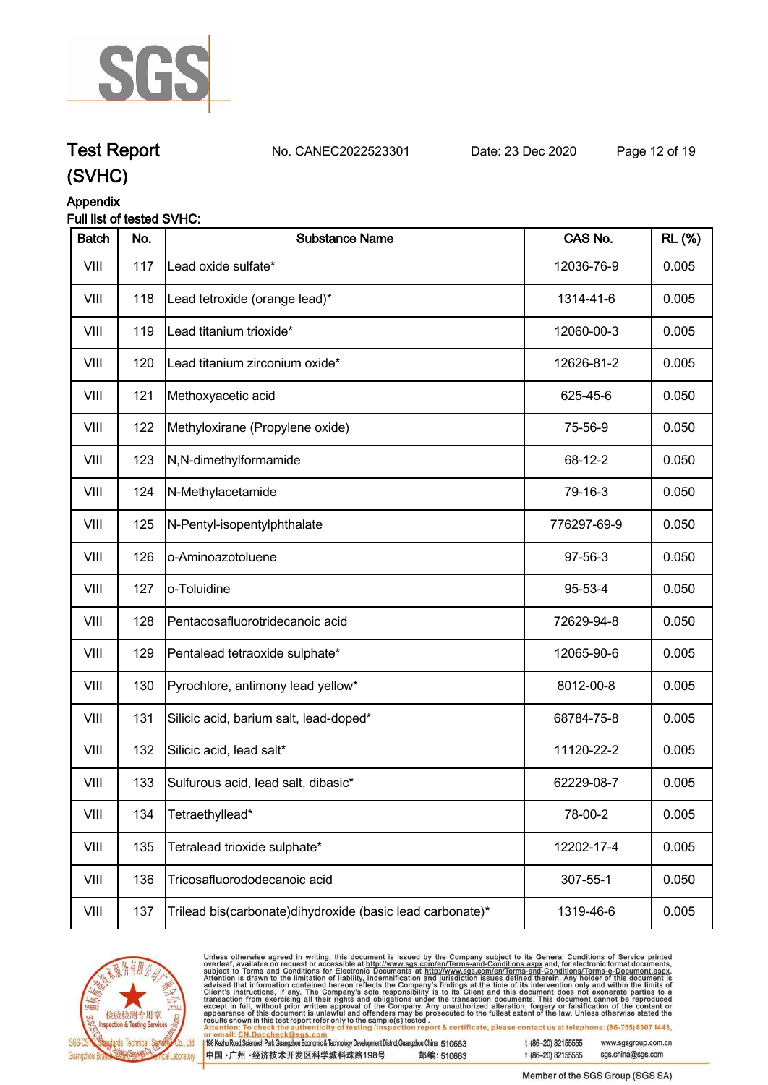

## **Test Report. No. CANEC2022523301 Date: 23 Dec 2020. Page 12 of 19.**

### **(SVHC)**

#### **Appendix Full list of tested SVHC:**

| <b>Batch</b> | No. | <b>Substance Name</b>                                      | CAS No.     | <b>RL</b> (%) |
|--------------|-----|------------------------------------------------------------|-------------|---------------|
| VIII         | 117 | Lead oxide sulfate*                                        | 12036-76-9  | 0.005         |
| VIII         | 118 | Lead tetroxide (orange lead)*                              | 1314-41-6   | 0.005         |
| VIII         | 119 | Lead titanium trioxide*                                    | 12060-00-3  | 0.005         |
| VIII         | 120 | Lead titanium zirconium oxide*                             | 12626-81-2  | 0.005         |
| VIII         | 121 | Methoxyacetic acid                                         | 625-45-6    | 0.050         |
| VIII         | 122 | Methyloxirane (Propylene oxide)                            | 75-56-9     | 0.050         |
| VIII         | 123 | N,N-dimethylformamide                                      | 68-12-2     | 0.050         |
| VIII         | 124 | N-Methylacetamide                                          | 79-16-3     | 0.050         |
| VIII         | 125 | N-Pentyl-isopentylphthalate                                | 776297-69-9 | 0.050         |
| VIII         | 126 | o-Aminoazotoluene                                          | 97-56-3     | 0.050         |
| VIII         | 127 | o-Toluidine                                                | 95-53-4     | 0.050         |
| VIII         | 128 | Pentacosafluorotridecanoic acid                            | 72629-94-8  | 0.050         |
| VIII         | 129 | Pentalead tetraoxide sulphate*                             | 12065-90-6  | 0.005         |
| VIII         | 130 | Pyrochlore, antimony lead yellow*                          | 8012-00-8   | 0.005         |
| VIII         | 131 | Silicic acid, barium salt, lead-doped*                     | 68784-75-8  | 0.005         |
| VIII         | 132 | Silicic acid, lead salt*                                   | 11120-22-2  | 0.005         |
| VIII         | 133 | Sulfurous acid, lead salt, dibasic*                        | 62229-08-7  | 0.005         |
| VIII         | 134 | Tetraethyllead*                                            | 78-00-2     | 0.005         |
| VIII         | 135 | Tetralead trioxide sulphate*                               | 12202-17-4  | 0.005         |
| VIII         | 136 | Tricosafluorododecanoic acid                               | 307-55-1    | 0.050         |
| VIII         | 137 | Trilead bis(carbonate) dihydroxide (basic lead carbonate)* | 1319-46-6   | 0.005         |



Unless otherwise agreed in writing, this document is issued by the Company subject to its General Conditions of Service printed overleaf, available on request or accessible at http://www.sgs.com/en/Terms-and-Conditions.as

198 Kezhu Road, Scientech Park Guangzhou Economic & Technology Development District, Guangzhou, China 510663 中国·广州·经济技术开发区科学城科珠路198号 邮编: 510663 t (86-20) 82155555 www.sgsgroup.com.cn sgs.china@sgs.com t (86-20) 82155555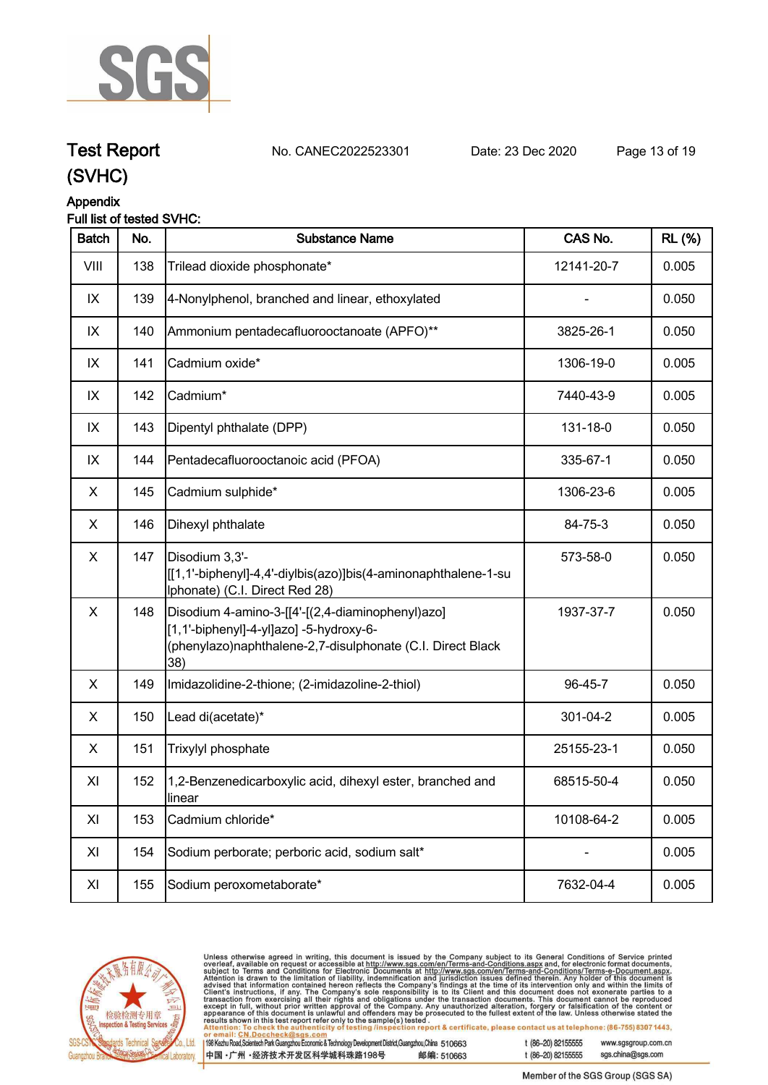

### **Test Report. No. CANEC2022523301 Date: 23 Dec 2020. Page 13 of 19.**

**(SVHC)**

#### **Appendix Full list of tested SVHC:**

| <b>Batch</b> | No. | <b>Substance Name</b>                                                                                                                                            | CAS No.    | <b>RL</b> (%) |
|--------------|-----|------------------------------------------------------------------------------------------------------------------------------------------------------------------|------------|---------------|
| VIII         | 138 | Trilead dioxide phosphonate*                                                                                                                                     | 12141-20-7 | 0.005         |
| IX           | 139 | 4-Nonylphenol, branched and linear, ethoxylated                                                                                                                  |            | 0.050         |
| IX           | 140 | Ammonium pentadecafluorooctanoate (APFO)**                                                                                                                       | 3825-26-1  | 0.050         |
| IX           | 141 | Cadmium oxide*                                                                                                                                                   | 1306-19-0  | 0.005         |
| IX           | 142 | Cadmium*                                                                                                                                                         | 7440-43-9  | 0.005         |
| IX           | 143 | Dipentyl phthalate (DPP)                                                                                                                                         | 131-18-0   | 0.050         |
| IX           | 144 | Pentadecafluorooctanoic acid (PFOA)                                                                                                                              | 335-67-1   | 0.050         |
| X            | 145 | Cadmium sulphide*                                                                                                                                                | 1306-23-6  | 0.005         |
| X            | 146 | Dihexyl phthalate                                                                                                                                                | 84-75-3    | 0.050         |
| X            | 147 | Disodium 3,3'-<br>[[1,1'-biphenyl]-4,4'-diylbis(azo)]bis(4-aminonaphthalene-1-su<br>Iphonate) (C.I. Direct Red 28)                                               | 573-58-0   | 0.050         |
| X            | 148 | Disodium 4-amino-3-[[4'-[(2,4-diaminophenyl)azo]<br>[1,1'-biphenyl]-4-yl]azo] -5-hydroxy-6-<br>(phenylazo)naphthalene-2,7-disulphonate (C.I. Direct Black<br>38) | 1937-37-7  | 0.050         |
| X            | 149 | Imidazolidine-2-thione; (2-imidazoline-2-thiol)                                                                                                                  | 96-45-7    | 0.050         |
| X            | 150 | Lead di(acetate)*                                                                                                                                                | 301-04-2   | 0.005         |
| X            | 151 | Trixylyl phosphate                                                                                                                                               | 25155-23-1 | 0.050         |
| XI           | 152 | 1,2-Benzenedicarboxylic acid, dihexyl ester, branched and<br>linear                                                                                              | 68515-50-4 | 0.050         |
| XI           | 153 | Cadmium chloride*                                                                                                                                                | 10108-64-2 | 0.005         |
| XI           | 154 | Sodium perborate; perboric acid, sodium salt*                                                                                                                    |            | 0.005         |
| XI           | 155 | Sodium peroxometaborate*                                                                                                                                         | 7632-04-4  | 0.005         |



Unless otherwise agreed in writing, this document is issued by the Company subject to its General Conditions of Service printed overleaf, available on request or accessible at http://www.sgs.com/en/Terms-and-Conditions.as

198 Kezhu Road, Scientech Park Guangzhou Economic & Technology Development District, Guangzhou, China 510663

中国·广州·经济技术开发区科学城科珠路198号 邮编: 510663 t (86-20) 82155555 www.sasaroup.com.cn

sgs.china@sgs.com t (86-20) 82155555 Member of the SGS Group (SGS SA)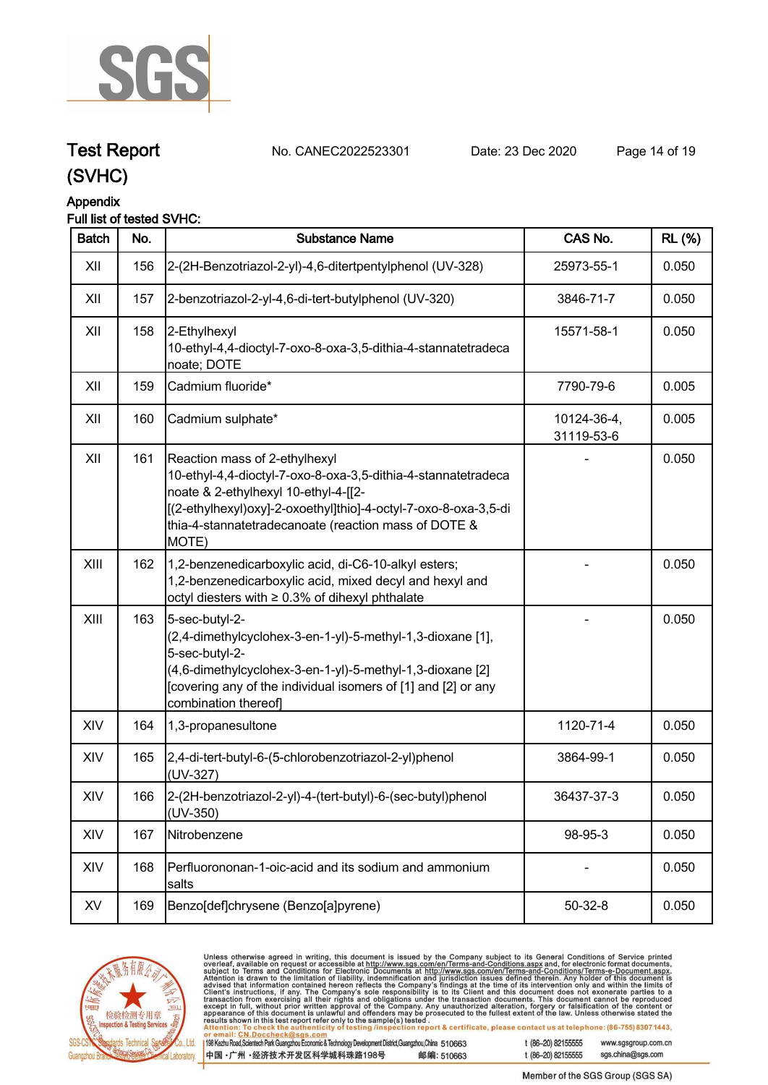

### **Appendix**

### **Full list of tested SVHC:**

| <b>Batch</b> | No. | <b>Substance Name</b>                                                                                                                                                                                                                                                      | CAS No.                   | <b>RL</b> (%) |
|--------------|-----|----------------------------------------------------------------------------------------------------------------------------------------------------------------------------------------------------------------------------------------------------------------------------|---------------------------|---------------|
| XII          | 156 | 2-(2H-Benzotriazol-2-yl)-4,6-ditertpentylphenol (UV-328)                                                                                                                                                                                                                   | 25973-55-1                | 0.050         |
| XII          | 157 | 2-benzotriazol-2-yl-4,6-di-tert-butylphenol (UV-320)                                                                                                                                                                                                                       | 3846-71-7                 | 0.050         |
| XII          | 158 | 2-Ethylhexyl<br>10-ethyl-4,4-dioctyl-7-oxo-8-oxa-3,5-dithia-4-stannatetradeca<br>noate; DOTE                                                                                                                                                                               | 15571-58-1                | 0.050         |
| XII          | 159 | Cadmium fluoride*                                                                                                                                                                                                                                                          | 7790-79-6                 | 0.005         |
| XII          | 160 | Cadmium sulphate*                                                                                                                                                                                                                                                          | 10124-36-4,<br>31119-53-6 | 0.005         |
| XII          | 161 | Reaction mass of 2-ethylhexyl<br>10-ethyl-4,4-dioctyl-7-oxo-8-oxa-3,5-dithia-4-stannatetradeca<br>noate & 2-ethylhexyl 10-ethyl-4-[[2-<br>[(2-ethylhexyl)oxy]-2-oxoethyl]thio]-4-octyl-7-oxo-8-oxa-3,5-di<br>thia-4-stannatetradecanoate (reaction mass of DOTE &<br>MOTE) |                           | 0.050         |
| XIII         | 162 | 1,2-benzenedicarboxylic acid, di-C6-10-alkyl esters;<br>1,2-benzenedicarboxylic acid, mixed decyl and hexyl and<br>octyl diesters with ≥ 0.3% of dihexyl phthalate                                                                                                         |                           | 0.050         |
| XIII         | 163 | 5-sec-butyl-2-<br>(2,4-dimethylcyclohex-3-en-1-yl)-5-methyl-1,3-dioxane [1],<br>5-sec-butyl-2-<br>(4,6-dimethylcyclohex-3-en-1-yl)-5-methyl-1,3-dioxane [2]<br>[covering any of the individual isomers of [1] and [2] or any<br>combination thereof]                       |                           | 0.050         |
| XIV          | 164 | 1,3-propanesultone                                                                                                                                                                                                                                                         | 1120-71-4                 | 0.050         |
| XIV          | 165 | 2,4-di-tert-butyl-6-(5-chlorobenzotriazol-2-yl)phenol<br>(UV-327)                                                                                                                                                                                                          | 3864-99-1                 | 0.050         |
| XIV          | 166 | 2-(2H-benzotriazol-2-yl)-4-(tert-butyl)-6-(sec-butyl)phenol<br>$(UV-350)$                                                                                                                                                                                                  | 36437-37-3                | 0.050         |
| XIV          | 167 | Nitrobenzene                                                                                                                                                                                                                                                               | 98-95-3                   | 0.050         |
| XIV          | 168 | Perfluorononan-1-oic-acid and its sodium and ammonium<br>salts                                                                                                                                                                                                             |                           | 0.050         |
| XV           | 169 | Benzo[def]chrysene (Benzo[a]pyrene)                                                                                                                                                                                                                                        | $50 - 32 - 8$             | 0.050         |



Unless otherwise agreed in writing, this document is issued by the Company subject to its General Conditions of Service printed overleaf, available on request or accessible at http://www.sgs.com/en/Terms-and-Conditions.as , lesled .<br>tion report & certificate, please contact us at telephone: (86-755) 8307 1443, ing/inspec

198 Kezhu Road, Scientech Park Guangzhou Economic & Technology Development District, Guangzhou, China 510663 中国·广州·经济技术开发区科学城科珠路198号 邮编: 510663

t (86-20) 82155555

www.sgsgroup.com.cn sgs.china@sgs.com t (86-20) 82155555

**Test Report. No. CANEC2022523301 Date: 23 Dec 2020. Page 14 of 19.**

Member of the SGS Group (SGS SA)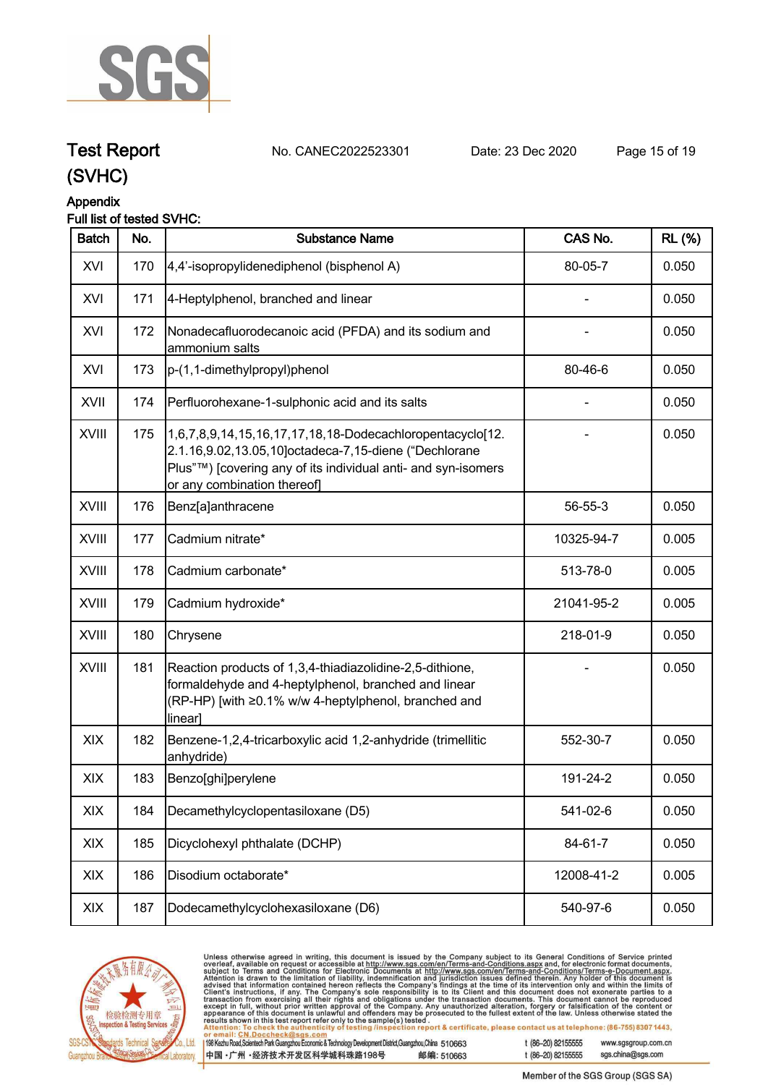

### **Test Report. No. CANEC2022523301 Date: 23 Dec 2020. Page 15 of 19.**

**(SVHC)**

### **Appendix**

### **Full list of tested SVHC:**

| <b>Batch</b> | No. | <b>Substance Name</b>                                                                                                                                                                                              | CAS No.    | <b>RL</b> (%) |
|--------------|-----|--------------------------------------------------------------------------------------------------------------------------------------------------------------------------------------------------------------------|------------|---------------|
| XVI          | 170 | 4,4'-isopropylidenediphenol (bisphenol A)                                                                                                                                                                          | 80-05-7    | 0.050         |
| XVI          | 171 | 4-Heptylphenol, branched and linear                                                                                                                                                                                |            | 0.050         |
| XVI          | 172 | Nonadecafluorodecanoic acid (PFDA) and its sodium and<br>ammonium salts                                                                                                                                            |            | 0.050         |
| XVI          | 173 | p-(1,1-dimethylpropyl)phenol                                                                                                                                                                                       | 80-46-6    | 0.050         |
| XVII         | 174 | Perfluorohexane-1-sulphonic acid and its salts                                                                                                                                                                     |            | 0.050         |
| <b>XVIII</b> | 175 | 1,6,7,8,9,14,15,16,17,17,18,18-Dodecachloropentacyclo[12.<br>2.1.16,9.02,13.05,10]octadeca-7,15-diene ("Dechlorane<br>Plus"™) [covering any of its individual anti- and syn-isomers<br>or any combination thereof] |            | 0.050         |
| <b>XVIII</b> | 176 | Benz[a]anthracene                                                                                                                                                                                                  | 56-55-3    | 0.050         |
| XVIII        | 177 | Cadmium nitrate*                                                                                                                                                                                                   | 10325-94-7 | 0.005         |
| XVIII        | 178 | Cadmium carbonate*                                                                                                                                                                                                 | 513-78-0   | 0.005         |
| XVIII        | 179 | Cadmium hydroxide*                                                                                                                                                                                                 | 21041-95-2 | 0.005         |
| XVIII        | 180 | Chrysene                                                                                                                                                                                                           | 218-01-9   | 0.050         |
| <b>XVIII</b> | 181 | Reaction products of 1,3,4-thiadiazolidine-2,5-dithione,<br>formaldehyde and 4-heptylphenol, branched and linear<br>(RP-HP) [with ≥0.1% w/w 4-heptylphenol, branched and<br>linear]                                |            | 0.050         |
| XIX          | 182 | Benzene-1,2,4-tricarboxylic acid 1,2-anhydride (trimellitic<br>anhydride)                                                                                                                                          | 552-30-7   | 0.050         |
| XIX          | 183 | Benzo[ghi]perylene                                                                                                                                                                                                 | 191-24-2   | 0.050         |
| XIX          | 184 | Decamethylcyclopentasiloxane (D5)                                                                                                                                                                                  | 541-02-6   | 0.050         |
| XIX          | 185 | Dicyclohexyl phthalate (DCHP)                                                                                                                                                                                      | 84-61-7    | 0.050         |
| XIX          | 186 | Disodium octaborate*                                                                                                                                                                                               | 12008-41-2 | 0.005         |
| XIX          | 187 | Dodecamethylcyclohexasiloxane (D6)                                                                                                                                                                                 | 540-97-6   | 0.050         |



Unless otherwise agreed in writing, this document is issued by the Company subject to its General Conditions of Service printed overleaf, available on request or accessible at http://www.sgs.com/en/Terms-and-Conditions.as , lesled .<br>tion report & certificate, please contact us at telephone: (86-755) 8307 1443, ing/inspec

198 Kezhu Road, Scientech Park Guangzhou Economic & Technology Development District, Guangzhou, China 510663 中国·广州·经济技术开发区科学城科珠路198号 邮编: 510663

t (86-20) 82155555

www.sgsgroup.com.cn sgs.china@sgs.com t (86-20) 82155555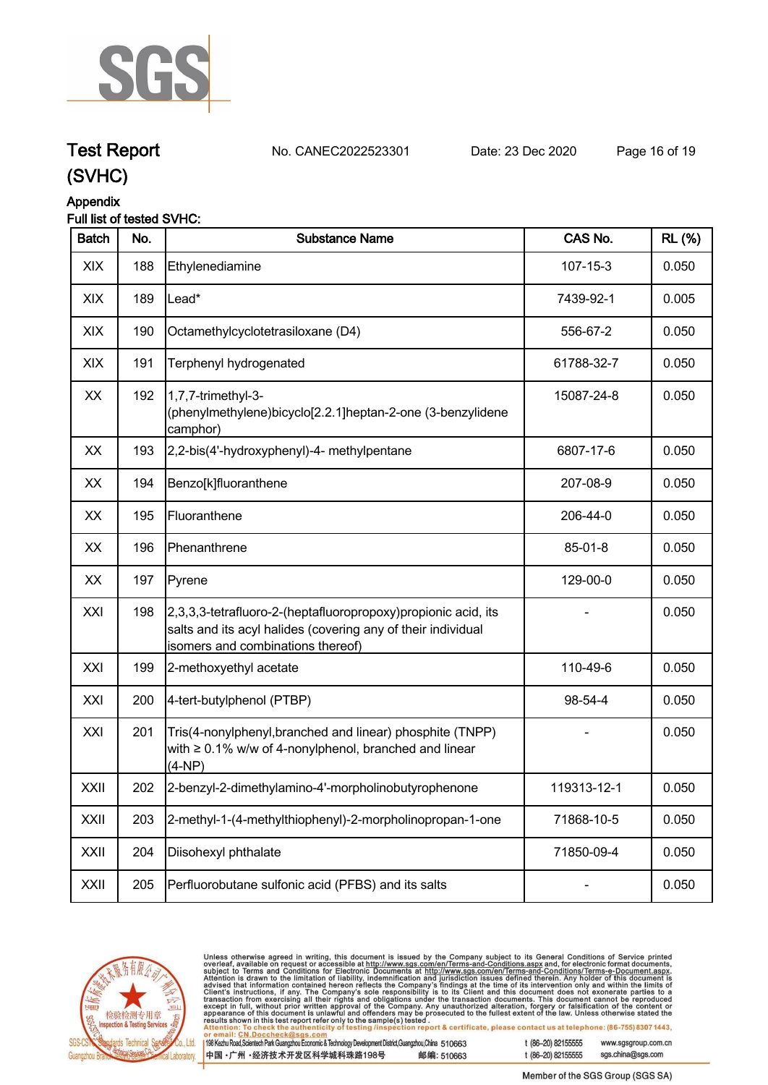

### **Test Report. No. CANEC2022523301 Date: 23 Dec 2020. Page 16 of 19.**

**(SVHC)**

### **Appendix**

### **Full list of tested SVHC:**

| <b>Batch</b> | No. | <b>Substance Name</b>                                                                                                                                               | CAS No.        | <b>RL</b> (%) |
|--------------|-----|---------------------------------------------------------------------------------------------------------------------------------------------------------------------|----------------|---------------|
| XIX          | 188 | Ethylenediamine                                                                                                                                                     | $107 - 15 - 3$ | 0.050         |
| XIX          | 189 | Lead*                                                                                                                                                               | 7439-92-1      | 0.005         |
| XIX          | 190 | Octamethylcyclotetrasiloxane (D4)                                                                                                                                   | 556-67-2       | 0.050         |
| XIX          | 191 | Terphenyl hydrogenated                                                                                                                                              | 61788-32-7     | 0.050         |
| XX           | 192 | 1,7,7-trimethyl-3-<br>(phenylmethylene)bicyclo[2.2.1]heptan-2-one (3-benzylidene<br>camphor)                                                                        | 15087-24-8     | 0.050         |
| XX           | 193 | 2,2-bis(4'-hydroxyphenyl)-4- methylpentane                                                                                                                          | 6807-17-6      | 0.050         |
| XX           | 194 | Benzo[k]fluoranthene                                                                                                                                                | 207-08-9       | 0.050         |
| XX           | 195 | Fluoranthene                                                                                                                                                        | 206-44-0       | 0.050         |
| XX           | 196 | Phenanthrene                                                                                                                                                        | 85-01-8        | 0.050         |
| XX           | 197 | Pyrene                                                                                                                                                              | 129-00-0       | 0.050         |
| XXI          | 198 | 2,3,3,3-tetrafluoro-2-(heptafluoropropoxy) propionic acid, its<br>salts and its acyl halides (covering any of their individual<br>isomers and combinations thereof) |                | 0.050         |
| XXI          | 199 | 2-methoxyethyl acetate                                                                                                                                              | 110-49-6       | 0.050         |
| XXI          | 200 | 4-tert-butylphenol (PTBP)                                                                                                                                           | 98-54-4        | 0.050         |
| XXI          | 201 | Tris(4-nonylphenyl, branched and linear) phosphite (TNPP)<br>with $\geq 0.1\%$ w/w of 4-nonylphenol, branched and linear<br>$(4-NP)$                                |                | 0.050         |
| XXII         | 202 | 2-benzyl-2-dimethylamino-4'-morpholinobutyrophenone                                                                                                                 | 119313-12-1    | 0.050         |
| XXII         | 203 | 2-methyl-1-(4-methylthiophenyl)-2-morpholinopropan-1-one                                                                                                            | 71868-10-5     | 0.050         |
| XXII         | 204 | Diisohexyl phthalate                                                                                                                                                | 71850-09-4     | 0.050         |
| XXII         | 205 | Perfluorobutane sulfonic acid (PFBS) and its salts                                                                                                                  |                | 0.050         |



Unless otherwise agreed in writing, this document is issued by the Company subject to its General Conditions of Service printed overleaf, available on request or accessible at http://www.sgs.com/en/Terms-and-Conditions.as

198 Kezhu Road, Scientech Park Guangzhou Economic & Technology Development District, Guangzhou, China 510663

中国·广州·经济技术开发区科学城科珠路198号 邮编: 510663 t (86-20) 82155555 www.sgsgroup.com.cn sgs.china@sgs.com t (86-20) 82155555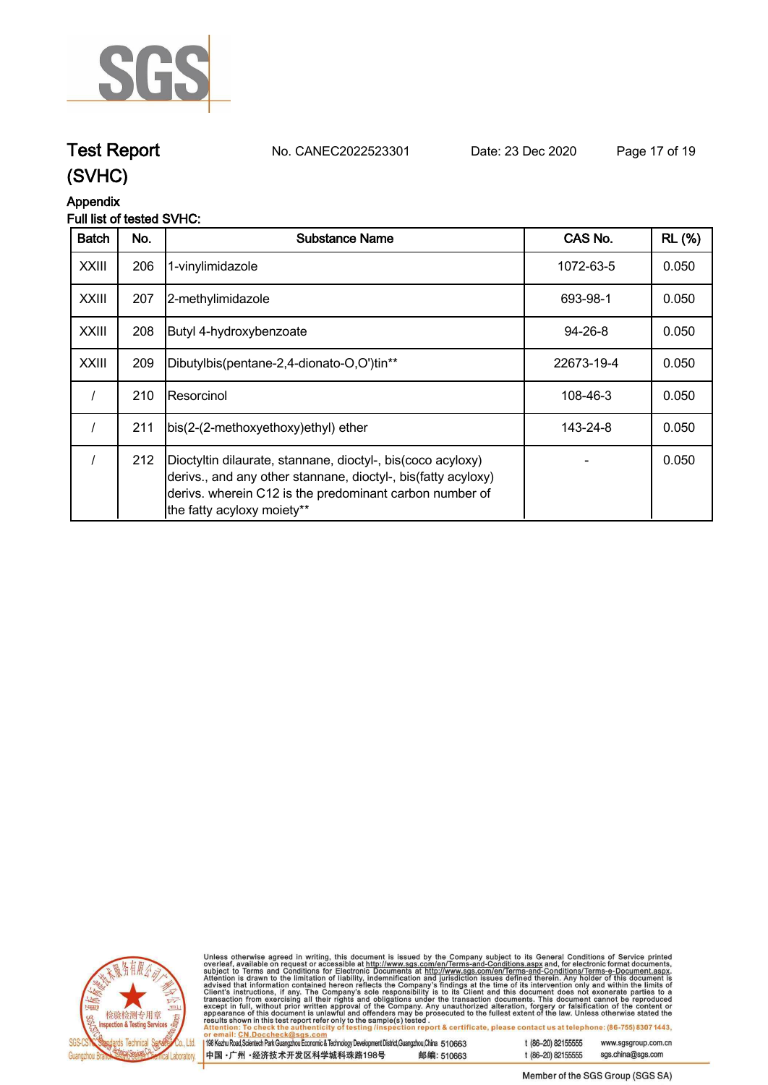

## **Test Report. No. CANEC2022523301 Date: 23 Dec 2020. Page 17 of 19.**

### **(SVHC)**

### **Appendix**

### **Full list of tested SVHC:**

| <b>Batch</b> | No. | <b>Substance Name</b>                                                                                                                                                                                                 | CAS No.       | <b>RL</b> (%) |
|--------------|-----|-----------------------------------------------------------------------------------------------------------------------------------------------------------------------------------------------------------------------|---------------|---------------|
| <b>XXIII</b> | 206 | 1-vinylimidazole                                                                                                                                                                                                      | 1072-63-5     | 0.050         |
| <b>XXIII</b> | 207 | 2-methylimidazole                                                                                                                                                                                                     | 693-98-1      | 0.050         |
| <b>XXIII</b> | 208 | Butyl 4-hydroxybenzoate                                                                                                                                                                                               | $94 - 26 - 8$ | 0.050         |
| <b>XXIII</b> | 209 | Dibutylbis(pentane-2,4-dionato-O,O')tin**                                                                                                                                                                             | 22673-19-4    | 0.050         |
|              | 210 | <b>IResorcinol</b>                                                                                                                                                                                                    | 108-46-3      | 0.050         |
|              | 211 | bis(2-(2-methoxyethoxy)ethyl) ether                                                                                                                                                                                   | 143-24-8      | 0.050         |
|              | 212 | Dioctyltin dilaurate, stannane, dioctyl-, bis(coco acyloxy)<br>derivs., and any other stannane, dioctyl-, bis(fatty acyloxy)<br>derivs. wherein C12 is the predominant carbon number of<br>the fatty acyloxy moiety** |               | 0.050         |



Unless otherwise agreed in writing, this document is issued by the Company subject to its General Conditions of Service printed overleaf, available on request or accessible at http://www.sgs.com/en/Terms-and-Conditions.as

198 Kezhu Road, Scientech Park Guangzhou Economic & Technology Development District, Guangzhou, China 510663 中国·广州·经济技术开发区科学城科珠路198号 邮编: 510663 t (86-20) 82155555 www.sgsgroup.com.cn sgs.china@sgs.com

t (86-20) 82155555 Member of the SGS Group (SGS SA)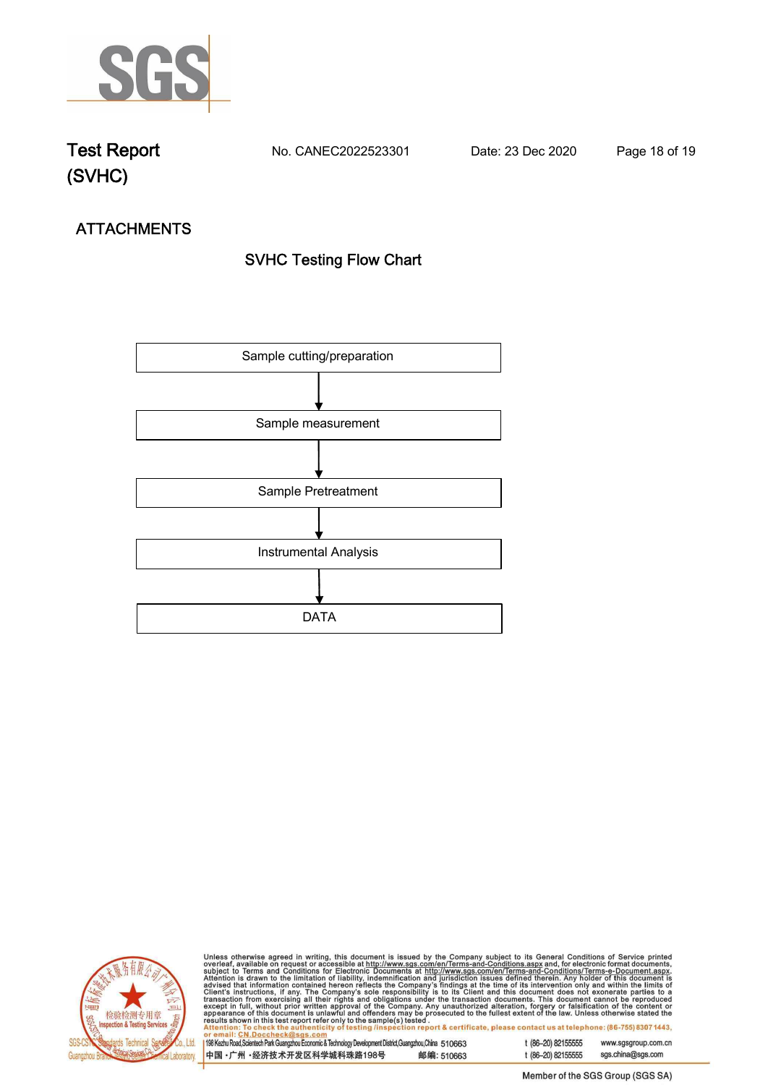

**Test Report. No. CANEC2022523301 Date: 23 Dec 2020. Page 18 of 19.**

## **ATTACHMENTS SVHC Testing Flow Chart**





Unless otherwise agreed in writing, this document is issued by the Company subject to its General Conditions of Service printed overleaf, available on request or accessible at http://www.sgs.com/en/Terms-and-Conditions.as tion report & certificate, please contact us at telephone: (86-755) 8307 1443,

198 Kezhu Road, Scientech Park Guangzhou Economic & Technology Development District, Guangzhou, China 510663 t (86-20) 82155555

中国·广州·经济技术开发区科学城科珠路198号 邮编: 510663

www.sgsgroup.com.cn sgs.china@sgs.com t (86-20) 82155555